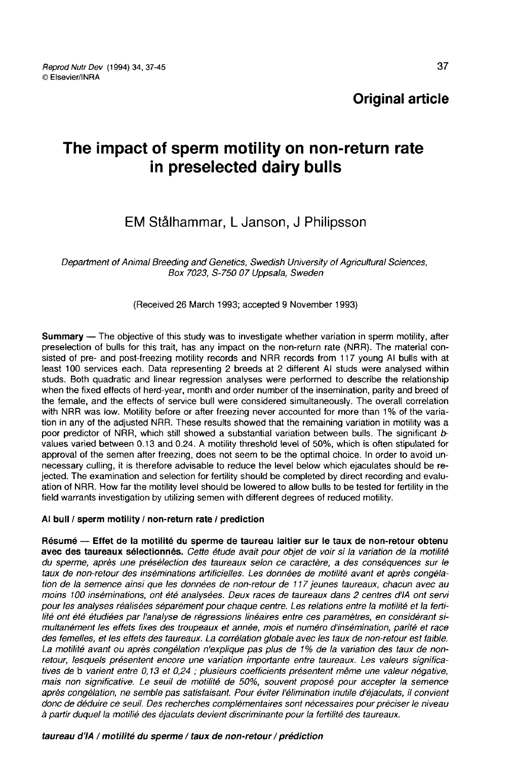# The impact of sperm motility on non-return rate in preselected dairy bulls

## EM Stålhammar, L Janson J Philipsson

Department of Animal Breeding and Genetics, Swedish University of Agricultural Sciences, Box 7023, S-750 07 Uppsala, Sweden

## (Received 26 March 1993; accepted 9 November 1993)

Summary — The objective of this study was to investigate whether variation in sperm motility, after preselection of bulls for this trait, has any impact on the non-return rate (NRR). The material consisted of pre- and post-freezing motility records and NRR records from 117 young Al bulls with at least 100 services each. Data representing 2 breeds at 2 different Al studs were analysed within studs. Both quadratic and linear regression analyses were performed to describe the relationship when the fixed effects of herd-year, month and order number of the insemination, parity and breed of the female, and the effects of service bull were considered simultaneously. The overall correlation with NRR was low. Motility before or after freezing never accounted for more than 1% of the variation in any of the adjusted NRR. These results showed that the remaining variation in motility was a poor predictor of NRR, which still showed a substantial variation between bulls. The significant  $b$ values varied between 0.13 and 0.24. A motility threshold level of 50%, which is often stipulated for approval of the semen after freezing, does not seem to be the optimal choice. In order to avoid unnecessary culling, it is therefore advisable to reduce the level below which ejaculates should be rejected. The examination and selection for fertility should be completed by direct recording and evaluation of NRR. How far the motility level should be lowered to allow bulls to be tested for fertility in the field warrants investigation by utilizing semen with different degrees of reduced motility.

## Al bull / sperm motility / non-return rate / prediction

Résumé ― Effet de la motilité du sperme de taureau laitier sur le taux de non-retour obtenu u avec des taureaux sélectionnés. Cette étude avait pour objet de voir si la variation de la motilité du sperme, après une présélection des taureaux selon ce caractère, a des conséquences sur le taux de non-retour des inséminations artificielles. Les données de motilité avant et après congélation de la semence ainsi que les données de non-retour de 117 jeunes taureaux, chacun avec au moins 100 inséminations, ont été analysées. Deux races de taureaux dans 2 centres d'IA ont servi pour les analyses réalisées séparément pour chaque centre. Les relations entre la motilité et la fertilité ont été étudiées par l'analyse de régressions linéaires entre ces paramètres, en considérant simultanément les effets fixes des troupeaux et année, mois et numéro d'insémination, parité et race des femelles, et les effets des taureaux. La corrélation globale avec les taux de non-retour est faible. La motilité avant ou après congélation n'explique pas plus de 1% de la variation des taux de nonretour, lesquels présentent encore une variation importante entre taureaux. Les valeurs significatives de b varient entre 0,13 et 0,24 ; plusieurs coefficients présentent même une valeur négative, mais non significative. Le seuil de motilité de 50%, souvent proposé pour accepter la semence après congélation, ne semble pas satisfaisant. Pour éviter l'élimination inutile d'éjaculats, il convient donc de déduire ce seuil. Des recherches complémentaires sont nécessaires pour préciser le niveau à partir duquel la motilié des éjaculats devient discriminante pour la fertilité des taureaux.

## taureau d'IA / motilité du sperme / taux de non-retour / prédiction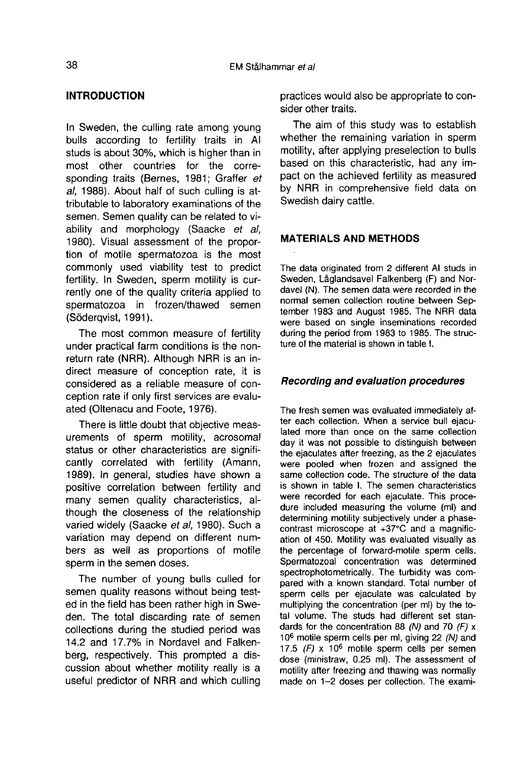## INTRODUCTION

In Sweden, the culling rate among young bulls according to fertility traits in Al studs is about 30%, which is higher than in most other countries for the corresponding traits (Bernes, 1981; Graffer et al, 1988). About half of such culling is attributable to laboratory examinations of the semen. Semen quality can be related to viability and morphology (Saacke et al, 1980). Visual assessment of the proportion of motile spermatozoa is the most commonly used viability test to predict fertility. In Sweden, sperm motility is currently one of the quality criteria applied to spermatozoa in frozen/thawed semen (Söderqvist, 1991).

The most common measure of fertility under practical farm conditions is the nonreturn rate (NRR). Although NRR is an indirect measure of conception rate, it is considered as a reliable measure of conception rate if only first services are evaluated (Oltenacu and Foote, 1976).

There is little doubt that objective measurements of sperm motility, acrosomal status or other characteristics are significantly correlated with fertility (Amann, 1989). In general, studies have shown a positive correlation between fertility and many semen quality characteristics, although the closeness of the relationship varied widely (Saacke et al, 1980). Such a variation may depend on different numbers as well as proportions of motile sperm in the semen doses.

The number of young bulls culled for semen quality reasons without being tested in the field has been rather high in Sweden. The total discarding rate of semen collections during the studied period was 14.2 and 17.7% in Nordavel and Falkenberg, respectively. This prompted a discussion about whether motility really is a useful predictor of NRR and which culling practices would also be appropriate to consider other traits.

The aim of this study was to establish whether the remaining variation in sperm motility, after applying preselection to bulls based on this characteristic, had any impact on the achieved fertility as measured by NRR in comprehensive field data on Swedish dairy cattle.

## MATERIALS AND METHODS

The data originated from 2 different Al studs in Sweden, Låglandsavel Falkenberg (F) and Nordavel (N). The semen data were recorded in the normal semen collection routine between September 1983 and August 1985. The NRR data were based on single inseminations recorded during the period from 1983 to 1985. The structure of the material is shown in table I.

## Recording and evaluation procedures

The fresh semen was evaluated immediately after each collection. When a service bull ejaculated more than once on the same collection day it was not possible to distinguish between the ejaculates after freezing, as the 2 ejaculates were pooled when frozen and assigned the same collection code. The structure of the data is shown in table I. The semen characteristics were recorded for each ejaculate. This procedure included measuring the volume (ml) and determining motility subjectively under a phase contrast microscope at +37°C and a magnification of 450. Motility was evaluated visually as the percentage of forward-motile sperm cells. Spermatozoal concentration was determined spectrophotometrically. The turbidity was compared with a known standard. Total number of sperm cells per ejaculate was calculated by multiplying the concentration (per ml) by the total volume. The studs had different set standards for the concentration 88 (N) and 70 (F)  $x$ 106 motile sperm cells per ml, giving 22 (N) and 17.5  $(F)$  x 10<sup>6</sup> motile sperm cells per semen dose (ministraw, 0.25 ml). The assessment of motility after freezing and thawing was normally made on 1-2 doses per collection. The exami-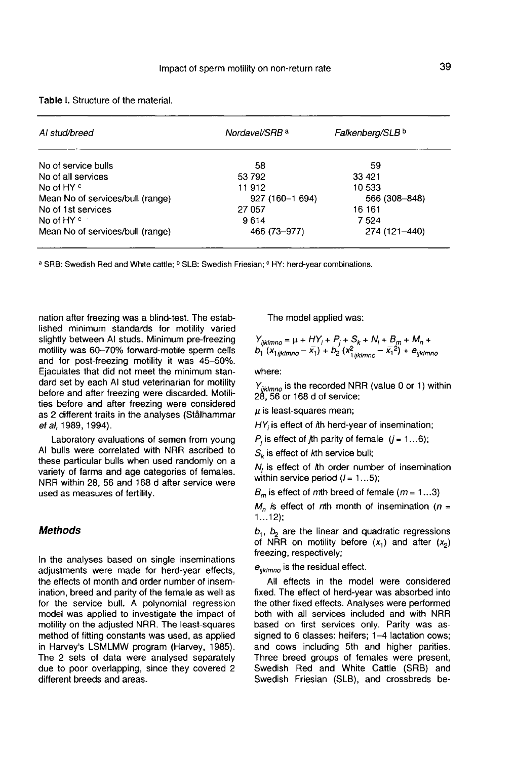| Al stud/breed                    | Falkenberg/SLB b<br>Nordavel/SRB <sup>a</sup> |               |  |
|----------------------------------|-----------------------------------------------|---------------|--|
| No of service bulls              | 58                                            | 59            |  |
| No of all services               | 53 792                                        | 33 4 21       |  |
| No of HY <sup>c</sup>            | 11912                                         | 10 533        |  |
| Mean No of services/bull (range) | 927 (160-1 694)                               | 566 (308-848) |  |
| No of 1st services               | 27 057                                        | 16 161        |  |
| No of HY <sup>c</sup>            | 9614                                          | 7 5 2 4       |  |
| Mean No of services/bull (range) | 466 (73-977)                                  | 274 (121-440) |  |

#### Table L Structure of the material

<sup>a</sup> SRB: Swedish Red and White cattle; <sup>b</sup> SLB: Swedish Friesian; <sup>c</sup> HY: herd-year combinations.

nation after freezing was a blind-test. The established minimum standards for motility varied slightly between AI studs. Minimum pre-freezing motility was 60-70% forward-motile sperm cells and for post-freezing motility it was 45-50%. Ejaculates that did not meet the minimum standard set by each Al stud veterinarian for motility before and after freezing were discarded. Motilities before and after freezing were considered as 2 different traits in the analyses (Stålhammar et al, 1989, 1994).

Laboratory evaluations of semen from young Al bulls were correlated with NRR ascribed to these particular bulls when used randomly on a variety of farms and age categories of females. NRR within 28, 56 and 168 d after service were used as measures of fertility.

## **Methods**

In the analyses based on single inseminations adjustments were made for herd-year effects, the effects of month and order number of insemination, breed and parity of the female as well as for the service bull. A polynomial regression model was applied to investigate the impact of motility on the adjusted NRR. The least-squares method of fitting constants was used, as applied in Harvey's LSMLMW program (Harvey, 1985). The 2 sets of data were analysed separately due to poor overlapping, since they covered 2 different breeds and areas.

The model applied was:

$$
Y_{ijklmno} = \mu + HY_i + P_j + S_k + N_i + B_m + M_n + D_1 (x_{ijklmno} - \bar{x}_1)^2 + B_{ijklmno}
$$

where:

 $Y_{iiklmno}$  is the recorded NRR (value 0 or 1) within 28, 56 or 168 d of service;

 $\mu$  is least-squares mean:

 $HY_i$  is effect of *h herd-year of insemination;* 

 $P_i$  is effect of *j*th parity of female  $(j = 1...6)$ ;

 $S_k$  is effect of kth service bull;

N, is effect of Ah order number of insemination within service period  $(l = 1...5)$ ;

 $B_m$  is effect of mth breed of female ( $m = 1...3$ )

 $M_n$  is effect of nth month of insemination (n = 1...12);

 $b_1$ ,  $b_2$  are the linear and quadratic regressions of NRR on motility before  $(x_1)$  and after  $(x_2)$ freezing, respectively;

 $e_{iiklmno}$  is the residual effect.

All effects in the model were considered fixed. The effect of herd-year was absorbed into the other fixed effects. Analyses were performed both with all services included and with NRR based on first services only. Parity was assigned to 6 classes: heifers; 1-4 lactation cows; and cows including 5th and higher parities. Three breed groups of females were present, Swedish Red and White Cattle (SRB) and Swedish Friesian (SLB), and crossbreds be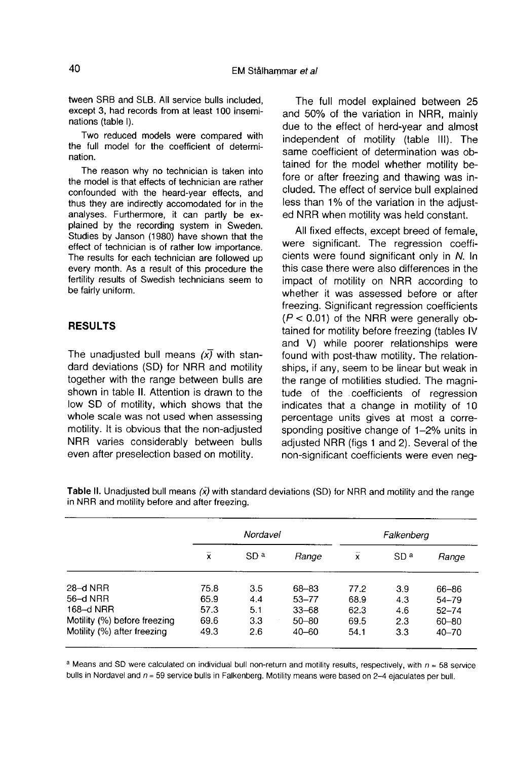tween SRB and SLB. All service bulls included, except 3, had records from at least 100 inseminations (table I).

Two reduced models were compared with the full model for the coefficient of determination.

The reason why no technician is taken into the model is that effects of technician are rather confounded with the heard-year effects, and thus they are indirectly accomodated for in the analyses. Furthermore, it can partly be explained by the recording system in Sweden. Studies by Janson (1980) have shown that the effect of technician is of rather low importance. The results for each technician are followed up every month. As a result of this procedure the fertility results of Swedish technicians seem to be fairly uniform.

## RESULTS

The unadjusted bull means  $(x)$  with standard deviations (SD) for NRR and motility together with the range between bulls are shown in table II. Attention is drawn to the low SD of motility, which shows that the whole scale was not used when assessing motility. It is obvious that the non-adjusted NRR varies considerably between bulls even after preselection based on motility.

The full model explained between 25 and 50% of the variation in NRR, mainly due to the effect of herd-year and almost independent of motility (table 111). The same coefficient of determination was obtained for the model whether motility before or after freezing and thawing was included. The effect of service bull explained less than 1% of the variation in the adjusted NRR when motility was held constant.

All fixed effects, except breed of female, were significant. The regression coefficients were found significant only in N. In this case there were also differences in the impact of motility on NRR according to whether it was assessed before or after freezing. Significant regression coefficients  $(P < 0.01)$  of the NRR were generally obtained for motility before freezing (tables IV and V) while poorer relationships were found with post-thaw motility. The relationships, if any, seem to be linear but weak in the range of motilities studied. The magnitude of the coefficients of regression indicates that a change in motility of 10 percentage units gives at most a corresponding positive change of 1-2% units in adjusted NRR (figs 1 and 2). Several of the non-significant coefficients were even neg-

|                              | Nordavel  |                 |           | Falkenberg |                 |           |
|------------------------------|-----------|-----------------|-----------|------------|-----------------|-----------|
|                              | $\bar{x}$ | SD <sup>a</sup> | Range     | X          | SD <sup>a</sup> | Range     |
| $28 - d$ NRR                 | 75.8      | 3.5             | 68-83     | 77.2       | 3.9             | 66-86     |
| 56-d NRR                     | 65.9      | 4.4             | $53 - 77$ | 68.9       | 4.3             | 54-79     |
| 168-d NRR                    | 57.3      | 5.1             | $33 - 68$ | 62.3       | 4.6             | $52 - 74$ |
| Motility (%) before freezing | 69.6      | 3.3             | $50 - 80$ | 69.5       | 2.3             | $60 - 80$ |
| Motility (%) after freezing  | 49.3      | 2.6             | $40 - 60$ | 54.1       | 3.3             | $40 - 70$ |

Table II. Unadjusted bull means  $(x)$  with standard deviations (SD) for NRR and motility and the range in NRR and motility before and after freezing.

a Means and SD were calculated on individual bull non-return and motility results, respectively, with  $n = 58$  service bulls in Nordavel and  $n = 59$  service bulls in Falkenberg. Motility means were based on 2-4 ejaculates per bull.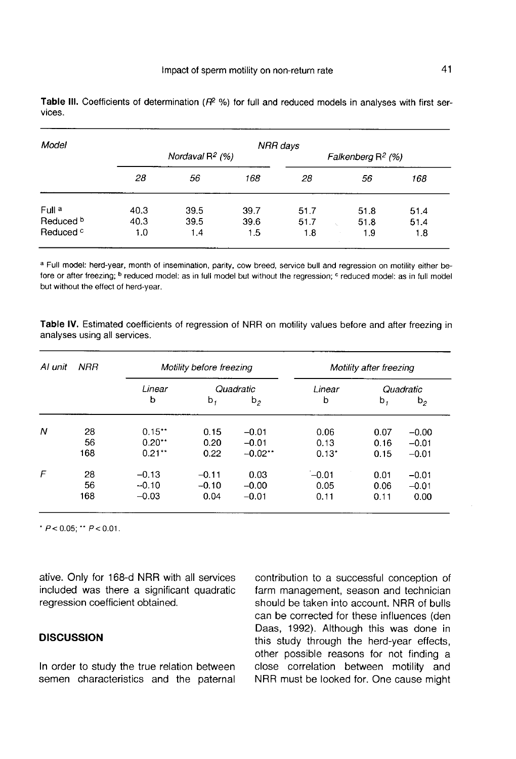| Model                |      |                    | NRR days |                      |      |      |  |
|----------------------|------|--------------------|----------|----------------------|------|------|--|
|                      |      | Nordaval $R^2$ (%) |          | Falkenberg $R^2$ (%) |      |      |  |
|                      | 28   | 56                 | 168      | 28                   | 56   | 168  |  |
| Full a               | 40.3 | 39.5               | 39.7     | 51.7                 | 51.8 | 51.4 |  |
| Reduced <sup>b</sup> | 40.3 | 39.5               | 39.6     | 51.7                 | 51.8 | 51.4 |  |
| Reduced <sup>c</sup> | 1.0  | 1.4                | 1.5      | 1.8                  | 1.9  | 1.8  |  |

Table III. Coefficients of determination ( $R^2$ %) for full and reduced models in analyses with first services.

a Full model: herd-year, month of insemination, parity, cow breed, service bull and regression on motility either before or after freezing; <sup>b</sup> reduced model: as in full model but without the regression; <sup>c</sup> reduced model; as in full model but without the effect of herd-year.

Table IV. Estimated coefficients of regression of NRR on motility values before and after freezing in analyses using all services.

| Al unit | <b>NRR</b> | Motility before freezing |         |           | Motility after freezing |      |                |
|---------|------------|--------------------------|---------|-----------|-------------------------|------|----------------|
|         |            | Linear                   |         | Quadratic | Linear                  |      | Quadratic      |
|         |            | b                        | b,      | $b_{2}$   | b                       | b,   | b <sub>2</sub> |
| N       | 28         | $0.15**$                 | 0.15    | $-0.01$   | 0.06                    | 0.07 | $-0.00$        |
|         | 56         | $0.20**$                 | 0.20    | $-0.01$   | 0.13                    | 0.16 | $-0.01$        |
|         | 168        | $0.21**$                 | 0.22    | $-0.02**$ | $0.13*$                 | 0.15 | $-0.01$        |
| F       | 28         | $-0.13$                  | $-0.11$ | 0.03      | $-0.01$                 | 0.01 | $-0.01$        |
|         | 56         | $-0.10$                  | $-0.10$ | $-0.00$   | 0.05                    | 0.06 | $-0.01$        |
|         | 168        | $-0.03$                  | 0.04    | $-0.01$   | 0.11                    | 0.11 | 0.00           |

\*  $P < 0.05$ : \*\*  $P < 0.01$ .

ative. Only for 168-d NRR with all services included was there a significant quadratic regression coefficient obtained.

## **DISCUSSION**

In order to study the true relation between semen characteristics and the paternal contribution to a successful conception of farm management, season and technician should be taken into account. NRR of bulls can be corrected for these influences (den Daas, 1992). Although this was done in this study through the herd-year effects, other possible reasons for not finding a close correlation between motility and NRR must be looked for. One cause might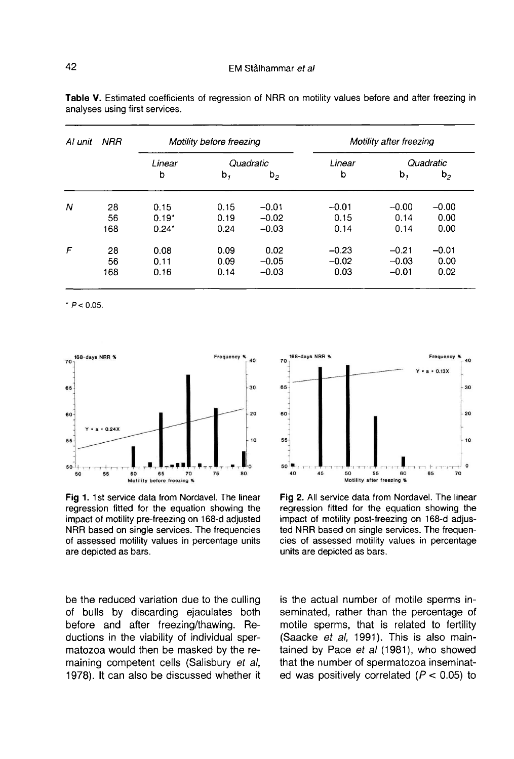| Al unit | <b>NRR</b> | Motility before freezing |           |                | Motility after freezing |           |                |
|---------|------------|--------------------------|-----------|----------------|-------------------------|-----------|----------------|
|         |            | Linear                   | Quadratic |                | Linear                  | Quadratic |                |
|         |            | b                        | b,        | b <sub>2</sub> | b                       | b,        | b <sub>2</sub> |
| Ν       | 28         | 0.15                     | 0.15      | $-0.01$        | $-0.01$                 | $-0.00$   | $-0.00$        |
|         | 56         | $0.19*$                  | 0.19      | $-0.02$        | 0.15                    | 0.14      | 0.00           |
|         | 168        | $0.24*$                  | 0.24      | $-0.03$        | 0.14                    | 0.14      | 0.00           |
| F       | 28         | 0.08                     | 0.09      | 0.02           | $-0.23$                 | $-0.21$   | $-0.01$        |
|         | 56         | 0.11                     | 0.09      | $-0.05$        | $-0.02$                 | $-0.03$   | 0.00           |
|         | 168        | 0.16                     | 0.14      | $-0.03$        | 0.03                    | $-0.01$   | 0.02           |

Table V. Estimated coefficients of regression of NRR on motility values before and after freezing in analyses using first services.

 $P < 0.05$ 



Fig 1. 1st service data from Nordavel. The linear regression fitted for the equation showing the impact of motility pre-freezing on 168-d adjusted NRR based on single services. The frequencies of assessed motility values in percentage units are depicted as bars.

be the reduced variation due to the culling of bulls by discarding ejaculates both before and after freezing/thawing. Reductions in the viability of individual spermatozoa would then be masked by the remaining competent cells (Salisbury et al, 1978). It can also be discussed whether it



Fig 2. All service data from Nordavel. The linear regression fitted for the equation showing the impact of motility post-freezing on 168-d adjusted NRR based on single services. The frequencies of assessed motility values in percentage units are depicted as bars.

is the actual number of motile sperms inseminated, rather than the percentage of motile sperms, that is related to fertility (Saacke et al, 1991). This is also maintained by Pace et al (1981), who showed that the number of spermatozoa inseminated was positively correlated  $(P < 0.05)$  to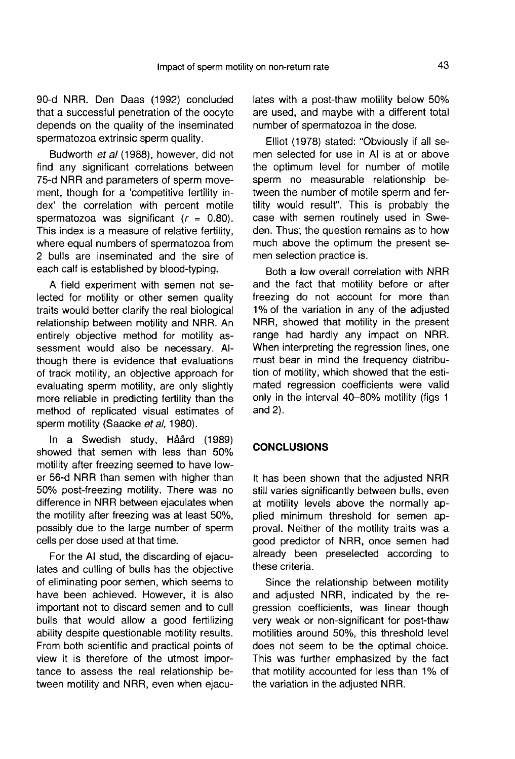90-d NRR. Den Daas (1992) concluded that a successful penetration of the oocyte depends on the quality of the inseminated spermatozoa extrinsic sperm quality.

Budworth et al (1988), however, did not find any significant correlations between 75-d NRR and parameters of sperm movement, though for a 'competitive fertility index' the correlation with percent motile spermatozoa was significant  $(r = 0.80)$ . This index is a measure of relative fertility, where equal numbers of spermatozoa from 2 bulls are inseminated and the sire of each calf is established by blood-typing.

A field experiment with semen not selected for motility or other semen quality traits would better clarify the real biological relationship between motility and NRR. An entirely objective method for motility assessment would also be necessary. Although there is evidence that evaluations of track motility, an objective approach for evaluating sperm motility, are only slightly more reliable in predicting fertility than the method of replicated visual estimates of sperm motility (Saacke et al, 1980).

In a Swedish study, Håård (1989) showed that semen with less than 50% motility after freezing seemed to have lower 56-d NRR than semen with higher than 50% post-freezing motility. There was no difference in NRR between ejaculates when the motility after freezing was at least 50%, possibly due to the large number of sperm cells per dose used at that time.

For the Al stud, the discarding of ejaculates and culling of bulls has the objective of eliminating poor semen, which seems to have been achieved. However, it is also important not to discard semen and to cull bulls that would allow a good fertilizing ability despite questionable motility results. From both scientific and practical points of view it is therefore of the utmost importance to assess the real relationship between motility and NRR, even when ejaculates with a post-thaw motility below 50% are used, and maybe with a different total number of spermatozoa in the dose.

Elliot (1978) stated: "Obviously if all semen selected for use in Al is at or above the optimum level for number of motile sperm no measurable relationship between the number of motile sperm and fertility would result". This is probably the case with semen routinely used in Sweden. Thus, the question remains as to how much above the optimum the present semen selection practice is.

Both a low overall correlation with NRR and the fact that motility before or after freezing do not account for more than 1% of the variation in any of the adjusted NRR, showed that motility in the present range had hardly any impact on NRR. When interpreting the regression lines, one must bear in mind the frequency distribution of motility, which showed that the estimated regression coefficients were valid only in the interval 40-80% motility (figs 1 and 2).

## **CONCLUSIONS**

It has been shown that the adjusted NRR still varies significantly between bulls, even at motility levels above the normally applied minimum threshold for semen approval. Neither of the motility traits was a good predictor of NRR, once semen had already been preselected according to these criteria.

Since the relationship between motility and adjusted NRR, indicated by the regression coefficients, was linear though very weak or non-significant for post-thaw motilities around 50%, this threshold level does not seem to be the optimal choice. This was further emphasized by the fact that motility accounted for less than 1% of the variation in the adjusted NRR.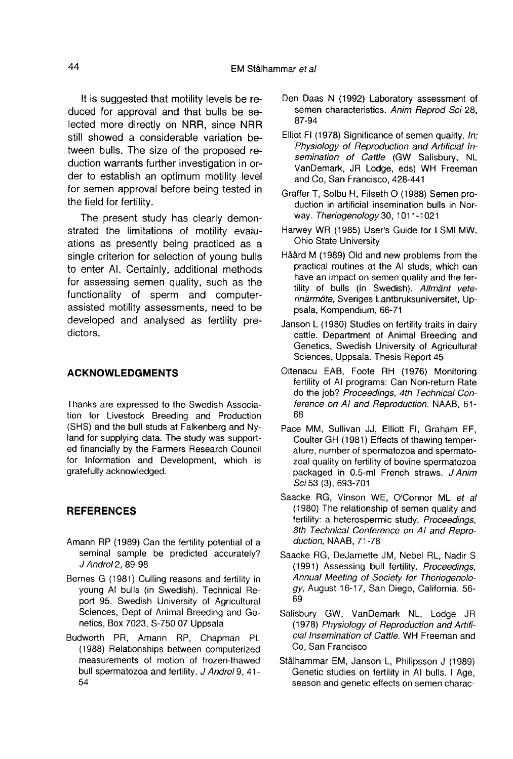It is suggested that motility levels be reduced for approval and that bulls be selected more directly on NRR, since NRR still showed a considerable variation between bulls. The size of the proposed reduction warrants further investigation in order to establish an optimum motility level for semen approval before being tested in the field for fertility.

The present study has clearly demonstrated the limitations of motility evaluations as presently being practiced as a single criterion for selection of young bulls to enter Al. Certainly, additional methods for assessing semen quality, such as the functionality of sperm and computerassisted motility assessments, need to be developed and analysed as fertility predictors.

## ACKNOWLEDGMENTS

Thanks are expressed to the Swedish Association for Livestock Breeding and Production (SHS) and the bull studs at Falkenberg and Nyland for supplying data. The study was supported financially by the Farmers Research Council for Information and Development, which is gratefully acknowledged.

## **REFERENCES**

- Amann RP (1989) Can the fertility potential of a seminal sample be predicted accurately? J Androl 2, 89-98
- Bernes G (1981) Culling reasons and fertility in young Al bulls (in Swedish). Technical Report 95. Swedish University of Agricultural Sciences, Dept of Animal Breeding and Genetics, Box 7023, S-750 07 Uppsala
- Budworth PR, Amann RP, Chapman PL (1988) Relationships between computerized measurements of motion of frozen-thawed bull spermatozoa and fertility. J Androl 9, 41- 54
- Den Daas N (1992) Laboratory assessment of semen characteristics. Anim Reprod Sci 28, 87-94
- Elliot Fl (1978) Significance of semen quality. In: Physiology of Reproduction and Artificial Insemination of Cattle (GW Salisbury, NL VanDemark, JR Lodge, eds) WH Freeman and Co, San Francisco, 428-441
- Grafter T, Solbu H, Filseth 0 (1988) Semen production in artificial insemination bulls in Norway. Theriogenology 30, 1011-1021
- Harwey WR (1985) User's Guide for LSMLMW. Ohio State University
- Håård M (1989) Old and new problems from the practical routines at the Al studs, which can have an impact on semen quality and the fertility of bulls (in Swedish). Allmänt veterinärmöte, Sveriges Lantbruksuniversitet, Uppsala, Kompendium, 66-71
- Janson L (1980) Studies on fertility traits in dairy cattle. Department of Animal Breeding and Genetics, Swedish University of Agricultural Sciences, Uppsala. Thesis Report 45
- Oltenacu EAB, Foote RH (1976) Monitoring fertility of Al programs: Can Non-return Rate do the job? Proceedings, 4th Technical Conference on AI and Reproduction. NAAB, 61- 68
- Pace MM, Sullivan JJ, Elliott Fl, Graham EF, Coulter GH (1981) Effects of thawing temperature, number of spermatozoa and spermatozoal quality on fertility of bovine spermatozoa packaged in 0.5-ml French straws. J Anim Sci 53 (3), 693-701
- Saacke RG, Vinson WE, O'Connor ML et al (1980) The relationship of semen quality and fertility: a heterospermic study. Proceedings, 8th Technical Conference on AI and Reproduction, NAAB, 71-78
- Saacke RG, Dejarnette JM, Nebel RL, Nadir S (1991) Assessing bull fertility. Proceedings, Annual Meeting of Society for Theriogenology, August 16-17, San Diego, California. 56- 69
- Salisbury GW, VanDemark NL, Lodge JR (1978) Physiology of Reproduction and Artificial Insemination of Cattle. WH Freeman and Co, San Francisco
- Stålhammar EM, Janson L, Philipsson J (1989) Genetic studies on fertility in AI bulls. I Age, season and genetic effects on semen charac-